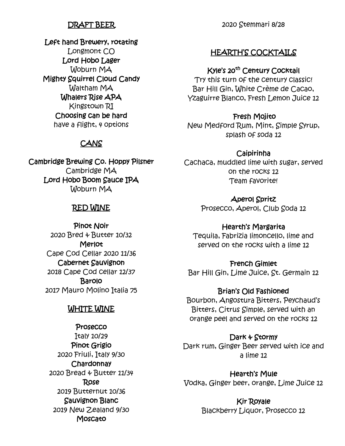## DRAFT BEER

Left hand Brewery, rotating Longmont CO Lord Hobo Lager Woburn MA Mighty Squirrel Cloud Candy Waltham MA Whalers Rise APA Kingstown RI Choosing can be hard have a flight, 4 options

## **CANS**

Cambridge Brewing Co. Hoppy Pilsner Cambridge MA Lord Hobo Boom Sauce IPA Woburn MA

## RED WINE

Pinot Noir 2020 Bred & Butter 10/32 Merlot Cape Cod Cellar 2020 11/36 Cabernet Sauvignon 2018 Cape Cod cellar 12/37 **Barolo** 2017 Mauro Molino Italia 75

## WHITE WINE

Prosecco Italy 10/29 Pinot Grigio 2020 Friuli, Italy 9/30 **Chardonnay** 2020 Bread & Butter 11/34 Rose 2019 Butternut 10/36 Sauvignon Blanc 2019 New Zealand 9/30 **Moscato** 

2020 Stemmari 8/28

## HEARTH'S COCKTAILS

#### Kyle's 20<sup>th</sup> Century Cocktail

Try this turn of the century classic! Bar Hill Gin, White Crème de Cacao, Yzaguirre Blanco, Fresh Lemon Juice 12

#### Fresh Mojito

New Medford Rum, Mint, Simple Syrup, splash of soda 12

#### Caipirinha

Cachaca, muddled lime with sugar, served on the rocks 12 Team favorite!

Aperol Spritz

Prosecco, Aperol, Club Soda 12

#### Hearth's Margarita

Tequila, Fabrizia limoncello, lime and served on the rocks with a lime 12

French Gimlet Bar Hill Gin, Lime Juice, St. Germain 12

Brian's Old Fashioned

Bourbon, Angostura Bitters, Peychaud's Bitters, Citrus Simple, served with an orange peel and served on the rocks 12

Dark & Stormy

Dark rum, Ginger Beer served with ice and a lime 12

Hearth's Mule Vodka, Ginger beer, orange, Lime Juice 12

> Kir Royale Blackberry Liquor, Prosecco 12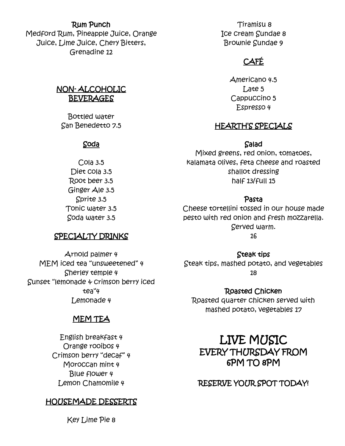#### Rum Punch

Medford Rum, Pineapple Juice, Orange Juice, Lime Juice, Chery Bitters, Grenadine 12

### NON- ALCOHOLIC **BEVERAGES**

Bottled water San Benedetto 7.5

#### Soda

Cola 3.5 Diet cola 3.5 Root beer 3.5 Ginger Ale 3.5 Sprite 3.5 Tonic water 3.5 Soda water 3.5

#### SPECIALTY DRINKS

Tiramisu 8 Ice cream Sundae 8 Brownie Sundae 9

# CAFÉ

Americano 4.5 Late 5 Cappuccino 5 Espresso 4

## HEARTH'S SPECIALS

#### Salad

Mixed greens, red onion, tomatoes, kalamata olives, feta cheese and roasted shallot dressing half 13/full 15

#### Pasta

Cheese tortellini tossed in our house made pesto with red onion and fresh mozzarella. Served warm.

16

Arnold palmer 4 MEM iced tea "unsweetened" 4 Sherley temple 4 Sunset "lemonade & crimson berry iced tea"4 Lemonade 4

## MEM TEA

English breakfast 4 Orange rooibos 4 Crimson berry "decaf" 4 Moroccan mint 4 Blue flower 4 Lemon Chamomile 4

## HOUSEMADE DESSERTS

Key Lime Pie 8

Steak tips Steak tips, mashed potato, and vegetables 18

Roasted Chicken Roasted quarter chicken served with mashed potato, vegetables 17

# LIVE MUSIC EVERY THURSDAY FROM 6PM TO 8PM

## RESERVE YOUR SPOT TODAY!